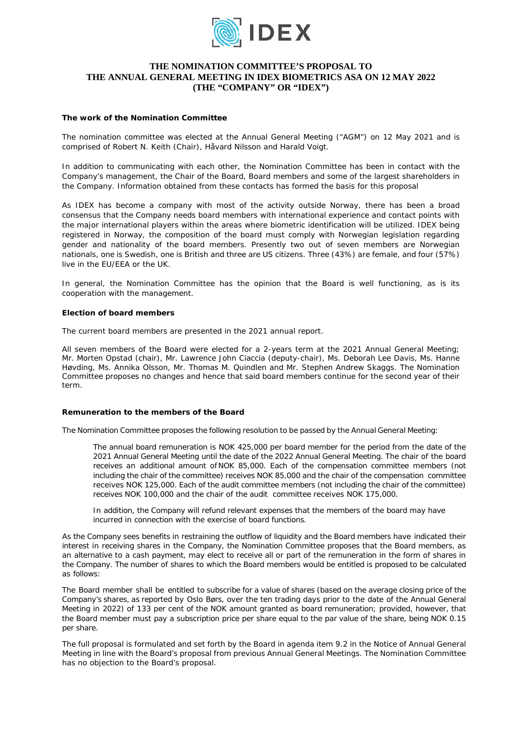

# **THE NOMINATION COMMITTEE'S PROPOSAL TO THE ANNUAL GENERAL MEETING IN IDEX BIOMETRICS ASA ON 12 MAY 2022 (THE "COMPANY" OR "IDEX")**

#### **The work of the Nomination Committee**

The nomination committee was elected at the Annual General Meeting ("AGM") on 12 May 2021 and is comprised of Robert N. Keith (Chair), Håvard Nilsson and Harald Voigt.

In addition to communicating with each other, the Nomination Committee has been in contact with the Company's management, the Chair of the Board, Board members and some of the largest shareholders in the Company. Information obtained from these contacts has formed the basis for this proposal

As IDEX has become a company with most of the activity outside Norway, there has been a broad consensus that the Company needs board members with international experience and contact points with the major international players within the areas where biometric identification will be utilized. IDEX being registered in Norway, the composition of the board must comply with Norwegian legislation regarding gender and nationality of the board members. Presently two out of seven members are Norwegian nationals, one is Swedish, one is British and three are US citizens. Three (43%) are female, and four (57%) live in the EU/EEA or the UK.

In general, the Nomination Committee has the opinion that the Board is well functioning, as is its cooperation with the management.

### **Election of board members**

The current board members are presented in the 2021 annual report.

All seven members of the Board were elected for a 2-years term at the 2021 Annual General Meeting; Mr. Morten Opstad (chair), Mr. Lawrence John Ciaccia (deputy-chair), Ms. Deborah Lee Davis, Ms. Hanne Høvding, Ms. Annika Olsson, Mr. Thomas M. Quindlen and Mr. Stephen Andrew Skaggs. The Nomination Committee proposes no changes and hence that said board members continue for the second year of their term.

#### **Remuneration to the members of the Board**

The Nomination Committee proposes the following resolution to be passed by the Annual General Meeting:

*The annual board remuneration is NOK 425,000 per board member for the period from the date of the 2021 Annual General Meeting until the date of the 2022 Annual General Meeting. The chair of the board receives an additional amount ofNOK 85,000. Each of the compensation committee members (not including the chair of the committee) receives NOK 85,000 and the chair of the compensation committee receives NOK 125,000. Each of the audit committee members (not including the chair of the committee) receives NOK 100,000 and the chair of the audit committee receives NOK 175,000.*

In addition, the Company will refund relevant expenses that the members of the board may have *incurred in connection with the exercise of board functions.*

As the Company sees benefits in restraining the outflow of liquidity and the Board members have indicated their interest in receiving shares in the Company, the Nomination Committee proposes that the Board members, as an alternative to a cash payment, may elect to receive all or part of the remuneration in the form of shares in the Company. The number of shares to which the Board members would be entitled is proposed to be calculated as follows:

The Board member shall be entitled to subscribe for a value of shares (based on the average closing price of the Company's shares, as reported by Oslo Børs, over the ten trading days prior to the date of the Annual General Meeting in 2022) of 133 per cent of the NOK amount granted as board remuneration; provided, however, that the Board member must pay a subscription price per share equal to the par value of the share, being NOK 0.15 per share.

The full proposal is formulated and set forth by the Board in agenda item 9.2 in the Notice of Annual General Meeting in line with the Board's proposal from previous Annual General Meetings. The Nomination Committee has no objection to the Board's proposal.